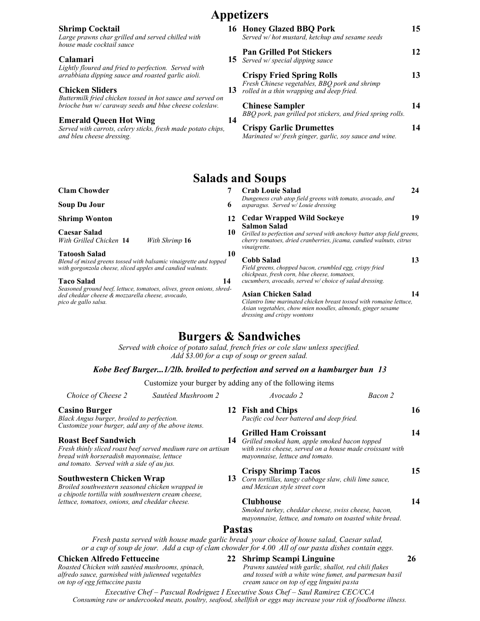|                                                                                                                      |    | Appetizers                                                                              |    |
|----------------------------------------------------------------------------------------------------------------------|----|-----------------------------------------------------------------------------------------|----|
| <b>Shrimp Cocktail</b><br>Large prawns char grilled and served chilled with<br>house made cocktail sauce             |    | 16 Honey Glazed BBQ Pork<br>Served w/ hot mustard, ketchup and sesame seeds             | 15 |
| Calamari<br>Lightly floured and fried to perfection. Served with                                                     | 15 | <b>Pan Grilled Pot Stickers</b><br>Served w/ special dipping sauce                      | 12 |
| arrabbiata dipping sauce and roasted garlic aioli.<br><b>Chicken Sliders</b>                                         |    | <b>Crispy Fried Spring Rolls</b><br>Fresh Chinese vegetables, BBQ pork and shrimp       | 13 |
| Buttermilk fried chicken tossed in hot sauce and served on<br>brioche bun w/ caraway seeds and blue cheese coleslaw. | 13 | rolled in a thin wrapping and deep fried.<br><b>Chinese Sampler</b>                     | 14 |
| <b>Emerald Queen Hot Wing</b>                                                                                        | 14 | BBQ pork, pan grilled pot stickers, and fried spring rolls.                             |    |
| Served with carrots, celery sticks, fresh made potato chips,<br>and bleu cheese dressing.                            |    | <b>Crispy Garlic Drumettes</b><br>Marinated w/fresh ginger, garlic, soy sauce and wine. | 14 |
|                                                                                                                      |    | <b>Salads and Soups</b>                                                                 |    |
|                                                                                                                      |    |                                                                                         |    |

| <b>Clam Chowder</b>                                                                                                                               | <b>Crab Louie Salad</b>                                                                                                                                                                     | 24 |
|---------------------------------------------------------------------------------------------------------------------------------------------------|---------------------------------------------------------------------------------------------------------------------------------------------------------------------------------------------|----|
| Soup Du Jour<br>6                                                                                                                                 | Dungeness crab atop field greens with tomato, avocado, and<br>asparagus. Served w/Louie dressing                                                                                            |    |
| <b>Shrimp Wonton</b><br>12                                                                                                                        | <b>Cedar Wrapped Wild Sockeye</b>                                                                                                                                                           | 19 |
| Caesar Salad<br>With Grilled Chicken 14<br>With Shrimp 16                                                                                         | Salmon Salad<br>10<br>Grilled to perfection and served with anchovy butter atop field greens,<br>cherry tomatoes, dried cranberries, jicama, candied walnuts, citrus<br><i>vinaigrette.</i> |    |
| <b>Tatoosh Salad</b><br>10                                                                                                                        |                                                                                                                                                                                             |    |
| Blend of mixed greens tossed with balsamic vinaigrette and topped<br>with gorgonzola cheese, sliced apples and candied walnuts.                   | <b>Cobb Salad</b><br>Field greens, chopped bacon, crumbled egg, crispy fried<br>chickpeas, fresh corn, blue cheese, tomatoes,                                                               | 13 |
| <b>Taco Salad</b><br>14                                                                                                                           | cucumbers, avocado, served w/ choice of salad dressing.                                                                                                                                     |    |
| Seasoned ground beef, lettuce, tomatoes, olives, green onions, shred-<br>ded cheddar cheese & mozzarella cheese, avocado,<br>pico de gallo salsa. | Asian Chicken Salad<br>Cilantro lime marinated chicken breast tossed with romaine lettuce,<br>Asian vegetables, chow mien noodles, almonds, ginger sesame<br>dressing and crispy wontons    | 14 |

## **Burgers & Sandwiches**

*Served with choice of potato salad, french fries or cole slaw unless specified. Add \$3.00 for a cup of soup or green salad.*

#### *Kobe Beef Burger...1/2lb. broiled to perfection and served on a hamburger bun 13*

Customize your burger by adding any of the following items

| Choice of Cheese 2                                                                                                                          | Sautéed Mushroom 2                                           | Avocado 2                                                                                                                                                                                       | Bacon 2 |
|---------------------------------------------------------------------------------------------------------------------------------------------|--------------------------------------------------------------|-------------------------------------------------------------------------------------------------------------------------------------------------------------------------------------------------|---------|
| <b>Casino Burger</b>                                                                                                                        |                                                              | 12 Fish and Chips                                                                                                                                                                               | 16      |
| Black Angus burger, broiled to perfection.                                                                                                  |                                                              | Pacific cod beer battered and deep fried.                                                                                                                                                       |         |
| Customize your burger, add any of the above items.                                                                                          |                                                              | <b>Grilled Ham Croissant</b>                                                                                                                                                                    | 14      |
| <b>Roast Beef Sandwich</b>                                                                                                                  | 14                                                           | Grilled smoked ham, apple smoked bacon topped                                                                                                                                                   |         |
| bread with horseradish mayonnaise, lettuce<br>and tomato. Served with a side of au jus.                                                     | Fresh thinly sliced roast beef served medium rare on artisan | with swiss cheese, served on a house made croissant with<br>mayonnaise, lettuce and tomato.                                                                                                     |         |
|                                                                                                                                             |                                                              | <b>Crispy Shrimp Tacos</b>                                                                                                                                                                      | 15      |
| <b>Southwestern Chicken Wrap</b><br>Broiled southwestern seasoned chicken wrapped in<br>a chipotle tortilla with southwestern cream cheese, | 13                                                           | Corn tortillas, tangy cabbage slaw, chili lime sauce,<br>and Mexican style street corn                                                                                                          |         |
| lettuce, tomatoes, onions, and cheddar cheese.                                                                                              |                                                              | <b>Clubhouse</b>                                                                                                                                                                                | 14      |
|                                                                                                                                             |                                                              | Smoked turkey, cheddar cheese, swiss cheese, bacon,<br>mayonnaise, lettuce, and tomato on toasted white bread.                                                                                  |         |
|                                                                                                                                             |                                                              | <b>Pastas</b>                                                                                                                                                                                   |         |
|                                                                                                                                             |                                                              | Fresh pasta served with house made garlic bread your choice of house salad, Caesar salad,<br>or a cup of soup de jour. Add a cup of clam chowder for 4.00 All of our pasta dishes contain eggs. |         |
|                                                                                                                                             |                                                              |                                                                                                                                                                                                 |         |

*Roasted Chicken with sautéed mushrooms, spinach, Prawns sautéed with garlic, shallot, red chili flakes* 

**Chicken Alfredo Fettuccine 22 Shrimp Scampi Linguine 26**

*alfredo sauce, garnished with julienned vegetables* and tossed with a white wine fumet, and parmesan basil on top of egg linguini pasta<br>on top of egg fettuccine pasta cream sauce on top of egg linguini pasta

*Executive Chef – Pascual Rodriguez I Executive Sous Chef – Saul Ramirez CEC/CCA Consuming raw or undercooked meats, poultry, seafood, shellfish or eggs may increase your risk of foodborne illness.*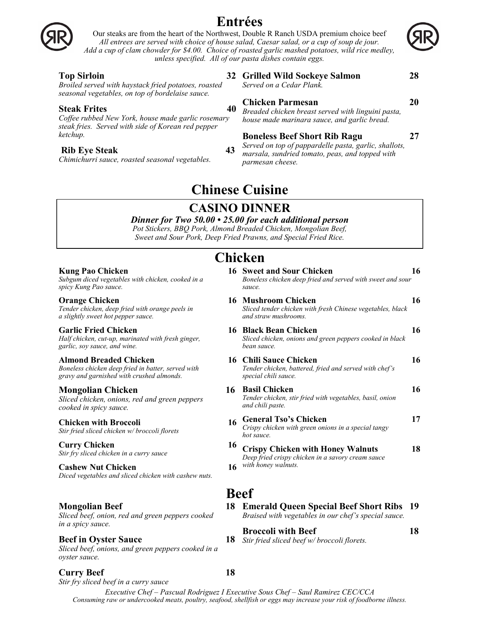

## **Entrées**

Our steaks are from the heart of the Northwest, Double R Ranch USDA premium choice beef *All entrees are served with choice of house salad, Caesar salad, or a cup of soup de jour. Add a cup of clam chowder for \$4.00. Choice of roasted garlic mashed potatoes, wild rice medley, unless specified. All of our pasta dishes contain eggs.*

#### **Top Sirloin 32**

*Broiled served with haystack fried potatoes, roasted seasonal vegetables, on top of bordelaise sauce.* 

#### **Steak Frites** 40

*Coffee rubbed New York, house made garlic rosemary steak fries. Served with side of Korean red pepper ketchup.* 

#### **Rib Eye Steak 43**

**Kung Pao Chicken 16**

*a slightly sweet hot pepper sauce.* 

**Almond Breaded Chicken 16**

**Garlic Fried Chicken 16**

*garlic, soy sauce, and wine.* 

**Mongolian Chicken 16**

*cooked in spicy sauce.* 

**Cashew Nut Chicken** 

**Mongolian Beef 18**

**Beef in Oyster Sauce** 

*in a spicy sauce.* 

*oyster sauce.*

*spicy Kung Pao sauce.*  **Orange Chicken** 

*Chimichurri sauce, roasted seasonal vegetables.*

*Subgum diced vegetables with chicken, cooked in a*

*Tender chicken, deep fried with orange peels in* 

*Half chicken, cut-up, marinated with fresh ginger,* 

*Boneless chicken deep fried in batter, served with gravy and garnished with crushed almonds.* 

*Sliced chicken, onions, red and green peppers* 

*Diced vegetables and sliced chicken with cashew nuts.* 

*Sliced beef, onion, red and green peppers cooked* 

*Sliced beef, onions, and green peppers cooked in a*

*Stir fried sliced chicken w/ broccoli florets*

*Stir fry sliced chicken in a curry sauce*

**Grilled Wild Sockeye Salmon 28**

*Served on a Cedar Plank.*

#### **Chicken Parmesan 20**

*Breaded chicken breast served with linguini pasta, house made marinara sauce, and garlic bread.*

### **Boneless Beef Short Rib Ragu 27**

*Served on top of pappardelle pasta, garlic, shallots, marsala, sundried tomato, peas, and topped with parmesan cheese.*

## **Chinese Cuisine**

## **CASINO DINNER**

*Dinner for Two 50.00 • 25.00 for each additional person Pot Stickers, BBQ Pork, Almond Breaded Chicken, Mongolian Beef, Sweet and Sour Pork, Deep Fried Prawns, and Special Fried Rice.*

## **Chicken**

**Chicken with Broccoli** 16 **Curry Chicken** 16 *Boneless chicken deep fried and served with sweet and sour sauce.*  **16 Mushroom Chicken 16** *Sliced tender chicken with fresh Chinese vegetables, black and straw mushrooms.*  16 Black Bean Chicken 16 *Sliced chicken, onions and green peppers cooked in black bean sauce.*  **Chili Sauce Chicken 16** *Tender chicken, battered, fried and served with chef's special chili sauce.*  **16** Basil Chicken 16 *Tender chicken, stir fried with vegetables, basil, onion and chili paste.*  **General Tso's Chicken 17** *Crispy chicken with green onions in a special tangy hot sauce.* **Crispy Chicken with Honey Walnuts 18** *Deep fried crispy chicken in a savory cream sauce with honey walnuts.* 

## **Beef**

**Emerald Queen Special Beef Short Ribs 19** *Braised with vegetables in our chef's special sauce.*

**Broccoli with Beef 18**

*Stir fried sliced beef w/ broccoli florets.* 

**Curry Beef 18** *Stir fry sliced beef in a curry sauce*

**Sweet and Sour Chicken 16**

*Executive Chef – Pascual Rodriguez I Executive Sous Chef – Saul Ramirez CEC/CCA Consuming raw or undercooked meats, poultry, seafood, shellfish or eggs may increase your risk of foodborne illness.*